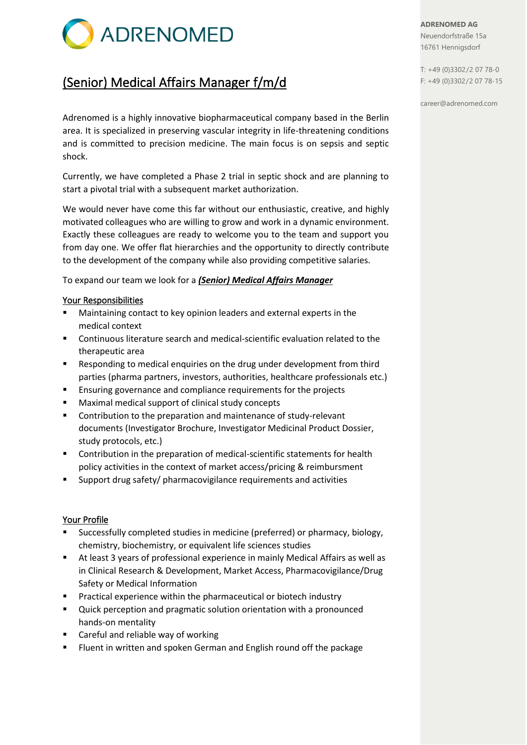

# (Senior) Medical Affairs Manager f/m/d

Adrenomed is a highly innovative biopharmaceutical company based in the Berlin area. It is specialized in preserving vascular integrity in life-threatening conditions and is committed to precision medicine. The main focus is on sepsis and septic shock.

Currently, we have completed a Phase 2 trial in septic shock and are planning to start a pivotal trial with a subsequent market authorization.

We would never have come this far without our enthusiastic, creative, and highly motivated colleagues who are willing to grow and work in a dynamic environment. Exactly these colleagues are ready to welcome you to the team and support you from day one. We offer flat hierarchies and the opportunity to directly contribute to the development of the company while also providing competitive salaries.

To expand our team we look for a *(Senior) Medical Affairs Manager*

# Your Responsibilities

- Maintaining contact to key opinion leaders and external experts in the medical context
- Continuous literature search and medical-scientific evaluation related to the therapeutic area
- Responding to medical enquiries on the drug under development from third parties (pharma partners, investors, authorities, healthcare professionals etc.)
- Ensuring governance and compliance requirements for the projects
- Maximal medical support of clinical study concepts
- Contribution to the preparation and maintenance of study-relevant documents (Investigator Brochure, Investigator Medicinal Product Dossier, study protocols, etc.)
- Contribution in the preparation of medical-scientific statements for health policy activities in the context of market access/pricing & reimbursment
- Support drug safety/ pharmacovigilance requirements and activities

### Your Profile

- Successfully completed studies in medicine (preferred) or pharmacy, biology, chemistry, biochemistry, or equivalent life sciences studies
- At least 3 years of professional experience in mainly Medical Affairs as well as in Clinical Research & Development, Market Access, Pharmacovigilance/Drug Safety or Medical Information
- Practical experience within the pharmaceutical or biotech industry
- Quick perception and pragmatic solution orientation with a pronounced hands-on mentality
- Careful and reliable way of working
- Fluent in written and spoken German and English round off the package

**ADRENOMED AG** Neuendorfstraße 15a 16761 Hennigsdorf

T: +49 (0)3302/2 07 78-0 F: +49 (0)3302/2 07 78-15

career@adrenomed.com